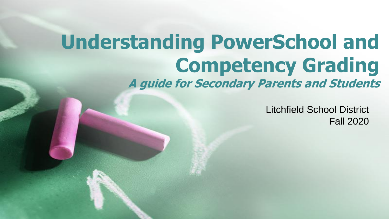### **Understanding PowerSchool and Competency Grading A guide for Secondary Parents and Students**

Litchfield School District Fall 2020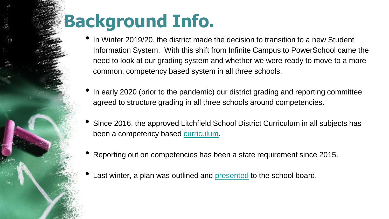## **Background Info.**

- In Winter 2019/20, the district made the decision to transition to a new Student Information System. With this shift from Infinite Campus to PowerSchool came the need to look at our grading system and whether we were ready to move to a more common, competency based system in all three schools.
- In early 2020 (prior to the pandemic) our district grading and reporting committee agreed to structure grading in all three schools around competencies.
- Since 2016, the approved Litchfield School District Curriculum in all subjects has been a competency based [curriculum](https://www.litchfieldsd.org/Curriculum.aspx).
- Reporting out on competencies has been a state requirement since 2015.
- Last winter, a plan was outlined and [presented](https://docs.google.com/presentation/d/12lTsULceQbVfF6xlk6A-e31kHtm_wXPD3qxkSOaEK_k/edit?usp=sharing) to the school board.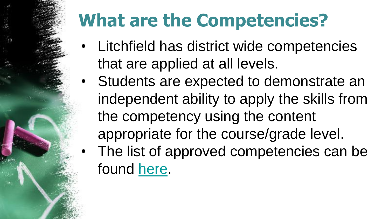# **What are the Competencies?**

- Litchfield has district wide competencies that are applied at all levels.
- Students are expected to demonstrate an independent ability to apply the skills from the competency using the content appropriate for the course/grade level. The list of approved competencies can be found [here](https://docs.google.com/spreadsheets/d/11cFMj79j6aeT1Iy2xSswc--SrA1SVVcYVJXSRxQRWUg/edit?usp=sharing).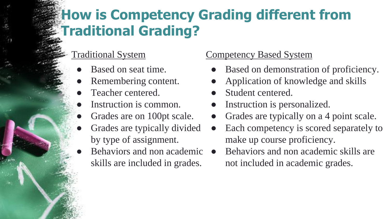### **How is Competency Grading different from Traditional Grading?**

#### Traditional System

- Based on seat time.
- Remembering content.
- Teacher centered.
- Instruction is common.
- Grades are on 100pt scale.
- Grades are typically divided by type of assignment.
- Behaviors and non academic  $\bullet$ skills are included in grades.

#### Competency Based System

- Based on demonstration of proficiency.
- Application of knowledge and skills
- Student centered.
- Instruction is personalized.
- Grades are typically on a 4 point scale.
- Each competency is scored separately to make up course proficiency.
- Behaviors and non academic skills are not included in academic grades.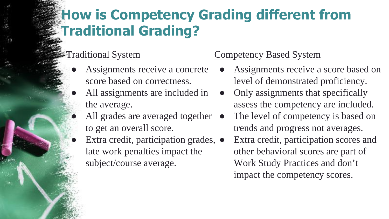### **How is Competency Grading different from Traditional Grading?**

#### Traditional System

- Assignments receive a concrete score based on correctness.
- All assignments are included in the average.
	- All grades are averaged together to get an overall score.
	- Extra credit, participation grades,  $\bullet$ late work penalties impact the subject/course average.

#### Competency Based System

- Assignments receive a score based on level of demonstrated proficiency.
- Only assignments that specifically assess the competency are included.
- The level of competency is based on trends and progress not averages.
- Extra credit, participation scores and other behavioral scores are part of Work Study Practices and don't impact the competency scores.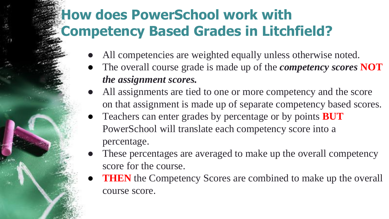### **How does PowerSchool work with Competency Based Grades in Litchfield?**

- All competencies are weighted equally unless otherwise noted.
- The overall course grade is made up of the *competency scores* **NOT** *the assignment scores.*
- All assignments are tied to one or more competency and the score on that assignment is made up of separate competency based scores.
- Teachers can enter grades by percentage or by points **BUT**  PowerSchool will translate each competency score into a percentage.
- These percentages are averaged to make up the overall competency score for the course.
- **THEN** the Competency Scores are combined to make up the overall course score.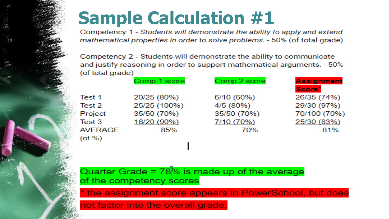## **Sample Calculation #1**

Competency 1 - Students will demonstrate the ability to apply and extend mathematical properties in order to solve problems. - 50% (of total grade)

Competency 2 - Students will demonstrate the ability to communicate and justify reasoning in order to support mathematical arguments. - 50% (of total grade)

|                | Comp 1 score | Comp 2 score | <b>Assignment</b>  |
|----------------|--------------|--------------|--------------------|
|                |              |              | Score <sup>*</sup> |
| Test 1         | 20/25 (80%)  | 6/10 (60%)   | 26/35 (74%)        |
| Test 2         | 25/25 (100%) | 4/5 (80%)    | 29/30 (97%)        |
| Project        | 35/50 (70%)  | 35/50 (70%)  | 70/100 (70%)       |
| Test 3         | 18/20 (90%)  | 7/10 (70%)   | 25/30 (83%)        |
| <b>AVERAGE</b> | 85%          | 70%          | 81%                |
| $($ of % $)$   |              |              |                    |
|                |              |              |                    |

Quarter Grade =  $78\%$  is made up of the average of the competency scores

the assignment score appears in PowerSchool, but does

not factor into the overall grade.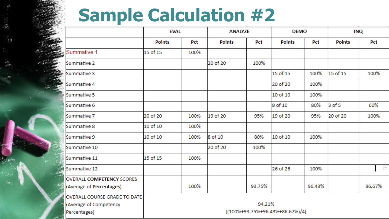## **Sample Calculation #2**

| ្                                                                      | <b>EVAL</b>                                           |      | <b>ANALYZE</b> |        | <b>DEMO</b>   |        | <b>INQ</b>    |                          |
|------------------------------------------------------------------------|-------------------------------------------------------|------|----------------|--------|---------------|--------|---------------|--------------------------|
|                                                                        | <b>Points</b>                                         | Pct  | <b>Points</b>  | Pct    | <b>Points</b> | Pct    | <b>Points</b> | Pct                      |
| <b>BYEN INSTRU</b><br>Summative 1                                      | 15 of 15                                              | 100% |                |        |               |        |               |                          |
| Summative 2                                                            |                                                       |      | 20 of 20       | 100%   |               |        |               |                          |
| Summative 3                                                            |                                                       |      |                |        | 15 of 15      | 100%   | 15 of 15      | 100%                     |
| Summative 4                                                            |                                                       |      |                |        | 20 of 20      | 100%   |               |                          |
| Summative 5                                                            |                                                       |      |                |        | 10 of 10      | 100%   |               |                          |
| Summative 6                                                            |                                                       |      |                |        | 8 of 10       | 80%    | 3 of 5        | 60%                      |
| lSummative 7                                                           | 20 of 20                                              | 100% | 19 of 20       | 95%    | 19 of 20      | 95%    | 20 of 20      | 100%                     |
| lSummative 8                                                           | 10 of 10                                              | 100% |                |        |               |        |               |                          |
| Summative 9                                                            | 10 of 10                                              | 100% | 8 of 10        | 80%    | 10 of 10      | 100%   |               |                          |
| Summative 10                                                           |                                                       |      | 20 of 20       | 100%   |               |        |               |                          |
| Summative 11                                                           | 15 of 15                                              | 100% |                |        |               |        |               |                          |
| Summative 12                                                           |                                                       |      |                |        | 26 of 26      | 100%   |               | $\overline{\mathcal{F}}$ |
| <b>OVERALL COMPETENCY SCORES</b><br>(Average of Percentages)           |                                                       | 100% |                | 93.75% |               | 96.43% |               | 86.67%                   |
| OVERALL COURSE GRADE TO DATE<br>(Average of Competency<br>Percentages) | 94.21%<br>$[(100\% + 93.75\% + 96.43\% + 86.67\%)/4]$ |      |                |        |               |        |               |                          |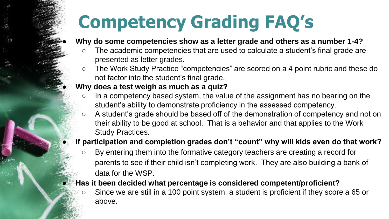# **Competency Grading FAQ's**

#### Why do some competencies show as a letter grade and others as a number 1-4?

- The academic competencies that are used to calculate a student's final grade are presented as letter grades.
- The Work Study Practice "competencies" are scored on a 4 point rubric and these do not factor into the student's final grade.

#### ● **Why does a test weigh as much as a quiz?**

- In a competency based system, the value of the assignment has no bearing on the student's ability to demonstrate proficiency in the assessed competency.
- A student's grade should be based off of the demonstration of competency and not on their ability to be good at school. That is a behavior and that applies to the Work Study Practices.

#### If participation and completion grades don't "count" why will kids even do that work?

○ By entering them into the formative category teachers are creating a record for parents to see if their child isn't completing work. They are also building a bank of data for the WSP.

#### ● **Has it been decided what percentage is considered competent/proficient?**

Since we are still in a 100 point system, a student is proficient if they score a 65 or above.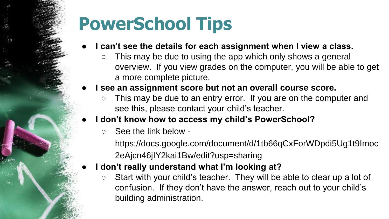# **PowerSchool Tips**

- I can't see the details for each assignment when I view a class.
	- This may be due to using the app which only shows a general overview. If you view grades on the computer, you will be able to get a more complete picture.
- I see an assignment score but not an overall course score.
	- This may be due to an entry error. If you are on the computer and see this, please contact your child's teacher.
- I don't know how to access my child's PowerSchool?
	- See the link below -

https://docs.google.com/document/d/1tb66qCxForWDpdi5Ug1t9Imoc 2eAjcn46jIY2kai1Bw/edit?usp=sharing

- **I don't really understand what I'm looking at?** 
	- Start with your child's teacher. They will be able to clear up a lot of confusion. If they don't have the answer, reach out to your child's building administration.